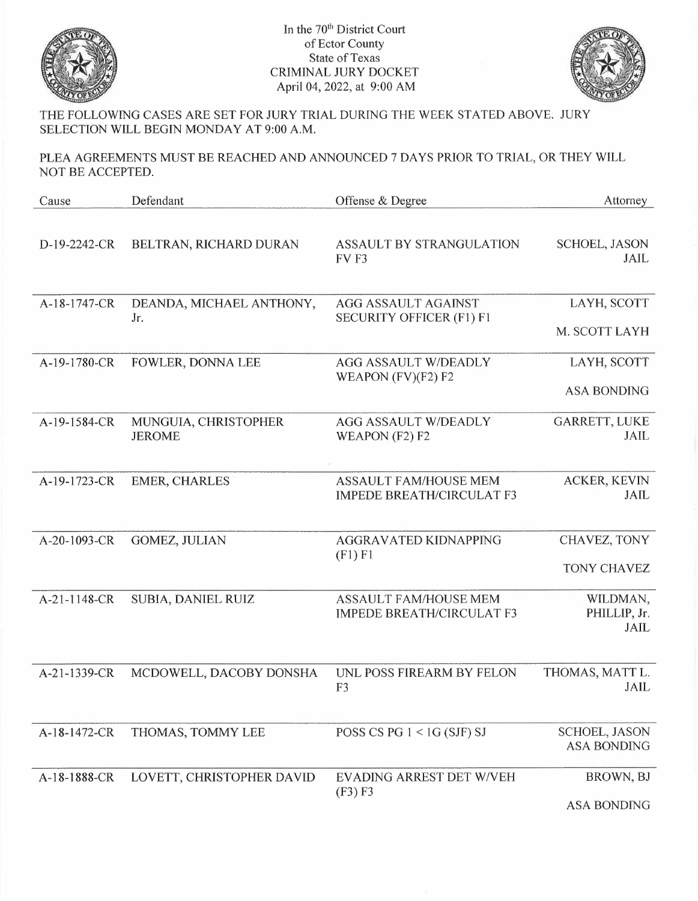

In the 70<sup>th</sup> District Court of Ector County State of Texas CRIMINAL JURY DOCKET April 04, 2022, at 9:00 AM



THE FOLLOWING CASES ARE SET FOR JURY TRIAL DURING THE WEEK STATED ABOVE. JURY SELECTION WILL BEGIN MONDAY AT 9:00 A.M.

PLEA AGREEMENTS MUST BE REACHED AND ANNOUNCED 7 DAYS PRIOR TO TRIAL, OR THEY WILL NOT BE ACCEPTED.

| Cause        | Defendant                             | Offense & Degree                                                 | Attorney                                   |
|--------------|---------------------------------------|------------------------------------------------------------------|--------------------------------------------|
| D-19-2242-CR | BELTRAN, RICHARD DURAN                | ASSAULT BY STRANGULATION<br>FV <sub>F3</sub>                     | <b>SCHOEL, JASON</b><br><b>JAIL</b>        |
| A-18-1747-CR | DEANDA, MICHAEL ANTHONY,<br>Jr.       | <b>AGG ASSAULT AGAINST</b><br><b>SECURITY OFFICER (F1) F1</b>    | LAYH, SCOTT<br>M. SCOTT LAYH               |
| A-19-1780-CR | FOWLER, DONNA LEE                     | <b>AGG ASSAULT W/DEADLY</b><br>WEAPON $(FV)(F2) F2$              | LAYH, SCOTT<br><b>ASA BONDING</b>          |
| A-19-1584-CR | MUNGUIA, CHRISTOPHER<br><b>JEROME</b> | <b>AGG ASSAULT W/DEADLY</b><br>WEAPON (F2) F2                    | <b>GARRETT, LUKE</b><br>JAIL               |
| A-19-1723-CR | <b>EMER, CHARLES</b>                  | <b>ASSAULT FAM/HOUSE MEM</b><br><b>IMPEDE BREATH/CIRCULAT F3</b> | ACKER, KEVIN<br><b>JAIL</b>                |
| A-20-1093-CR | GOMEZ, JULIAN                         | AGGRAVATED KIDNAPPING<br>(F1) F1                                 | CHAVEZ, TONY<br><b>TONY CHAVEZ</b>         |
| A-21-1148-CR | SUBIA, DANIEL RUIZ                    | <b>ASSAULT FAM/HOUSE MEM</b><br><b>IMPEDE BREATH/CIRCULAT F3</b> | WILDMAN,<br>PHILLIP, Jr.<br><b>JAIL</b>    |
| A-21-1339-CR | MCDOWELL, DACOBY DONSHA               | UNL POSS FIREARM BY FELON<br>F <sub>3</sub>                      | THOMAS, MATT L.<br><b>JAIL</b>             |
| A-18-1472-CR | THOMAS, TOMMY LEE                     | POSS CS PG $1 <$ 1G (SJF) SJ                                     | <b>SCHOEL, JASON</b><br><b>ASA BONDING</b> |
| A-18-1888-CR | LOVETT, CHRISTOPHER DAVID             | EVADING ARREST DET W/VEH<br>(F3) F3                              | BROWN, BJ<br><b>ASA BONDING</b>            |
|              |                                       |                                                                  |                                            |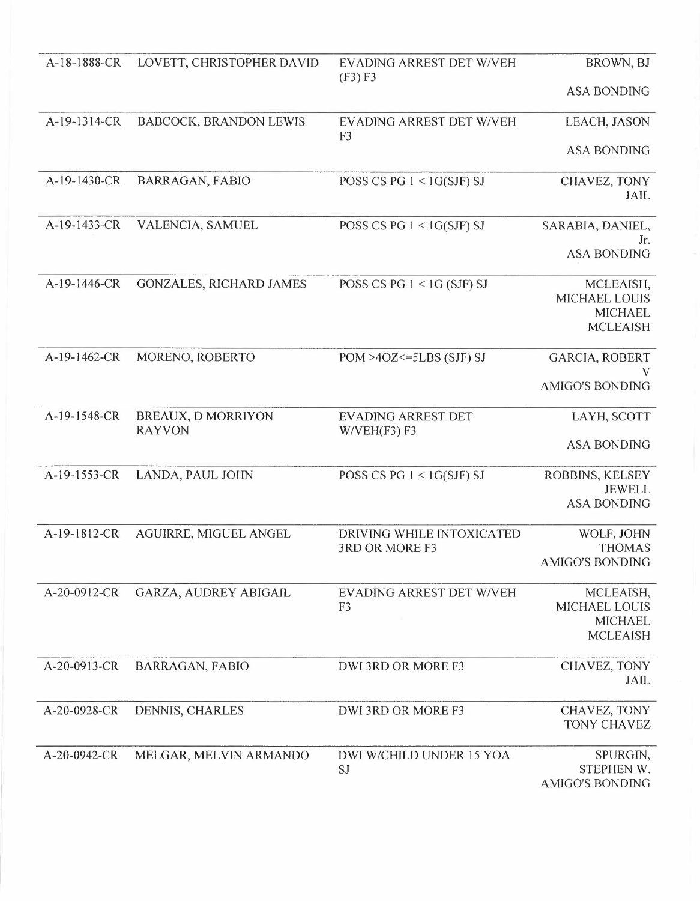| A-18-1888-CR | LOVETT, CHRISTOPHER DAVID           | EVADING ARREST DET W/VEH<br>(F3) F3         | BROWN, BJ                              |
|--------------|-------------------------------------|---------------------------------------------|----------------------------------------|
|              |                                     |                                             | <b>ASA BONDING</b>                     |
| A-19-1314-CR | <b>BABCOCK, BRANDON LEWIS</b>       | EVADING ARREST DET W/VEH<br>F <sub>3</sub>  | LEACH, JASON                           |
|              |                                     |                                             | <b>ASA BONDING</b>                     |
| A-19-1430-CR | <b>BARRAGAN, FABIO</b>              | POSS CS PG $1 < 1$ G(SJF) SJ                | CHAVEZ, TONY<br>JAIL                   |
| A-19-1433-CR | VALENCIA, SAMUEL                    | POSS CS PG $1 < 1$ G(SJF) SJ                | SARABIA, DANIEL,<br>Jr.                |
|              |                                     |                                             | <b>ASA BONDING</b>                     |
| A-19-1446-CR | <b>GONZALES, RICHARD JAMES</b>      | POSS CS PG $1 < 1$ G (SJF) SJ               | MCLEAISH,<br><b>MICHAEL LOUIS</b>      |
|              |                                     |                                             | <b>MICHAEL</b>                         |
|              |                                     |                                             | <b>MCLEAISH</b>                        |
| A-19-1462-CR | MORENO, ROBERTO                     | $POM > 4OZ \le 5LBS$ (SJF) SJ               | GARCIA, ROBERT<br>V                    |
|              |                                     |                                             | <b>AMIGO'S BONDING</b>                 |
| A-19-1548-CR | BREAUX, D MORRIYON<br><b>RAYVON</b> | <b>EVADING ARREST DET</b><br>W/VEH(F3) F3   | LAYH, SCOTT                            |
|              |                                     |                                             | <b>ASA BONDING</b>                     |
| A-19-1553-CR | LANDA, PAUL JOHN                    | POSS CS PG $1 < 1$ G(SJF) SJ                | ROBBINS, KELSEY<br><b>JEWELL</b>       |
|              |                                     |                                             | <b>ASA BONDING</b>                     |
| A-19-1812-CR | <b>AGUIRRE, MIGUEL ANGEL</b>        | DRIVING WHILE INTOXICATED<br>3RD OR MORE F3 | WOLF, JOHN<br><b>THOMAS</b>            |
|              |                                     |                                             | <b>AMIGO'S BONDING</b>                 |
| A-20-0912-CR | GARZA, AUDREY ABIGAIL               | EVADING ARREST DET W/VEH                    | MCLEAISH,                              |
|              |                                     | F <sub>3</sub>                              | <b>MICHAEL LOUIS</b><br><b>MICHAEL</b> |
|              |                                     |                                             | <b>MCLEAISH</b>                        |
| A-20-0913-CR | <b>BARRAGAN, FABIO</b>              | <b>DWI 3RD OR MORE F3</b>                   | CHAVEZ, TONY                           |
|              |                                     |                                             | JAIL                                   |
| A-20-0928-CR | DENNIS, CHARLES                     | DWI 3RD OR MORE F3                          | CHAVEZ, TONY<br><b>TONY CHAVEZ</b>     |
| A-20-0942-CR | MELGAR, MELVIN ARMANDO              | DWI W/CHILD UNDER 15 YOA                    | SPURGIN,                               |
|              |                                     | SJ                                          | STEPHEN W.<br><b>AMIGO'S BONDING</b>   |